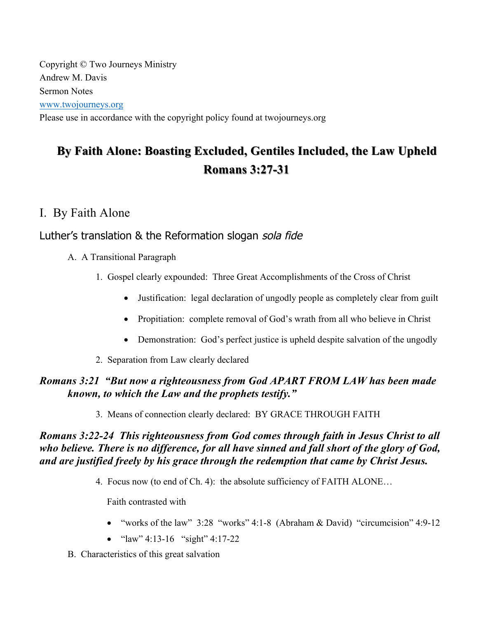Copyright © Two Journeys Ministry Andrew M. Davis Sermon Notes www.twojourneys.org Please use in accordance with the copyright policy found at twojourneys.org

# **By Faith Alone: Boasting Excluded, Gentiles Included, the Law Upheld By Faith Alone: Boasting Excluded, Gentiles Included, the Law Upheld Romans 3:27 Romans 3:27-31**

## I. By Faith Alone

## Luther's translation & the Reformation slogan sola fide

- A. A Transitional Paragraph
	- 1. Gospel clearly expounded: Three Great Accomplishments of the Cross of Christ
		- Justification: legal declaration of ungodly people as completely clear from guilt
		- Propitiation: complete removal of God's wrath from all who believe in Christ
		- Demonstration: God's perfect justice is upheld despite salvation of the ungodly
	- 2. Separation from Law clearly declared

## *Romans 3:21 "But now a righteousness from God APART FROM LAW has been made known, to which the Law and the prophets testify."*

3. Means of connection clearly declared: BY GRACE THROUGH FAITH

## *Romans 3:22-24 This righteousness from God comes through faith in Jesus Christ to all who believe. There is no difference, for all have sinned and fall short of the glory of God, and are justified freely by his grace through the redemption that came by Christ Jesus.*

4. Focus now (to end of Ch. 4): the absolute sufficiency of FAITH ALONE…

Faith contrasted with

- "works of the law" 3:28 "works" 4:1-8 (Abraham & David) "circumcision" 4:9-12
- "law" 4:13-16 "sight" 4:17-22
- B. Characteristics of this great salvation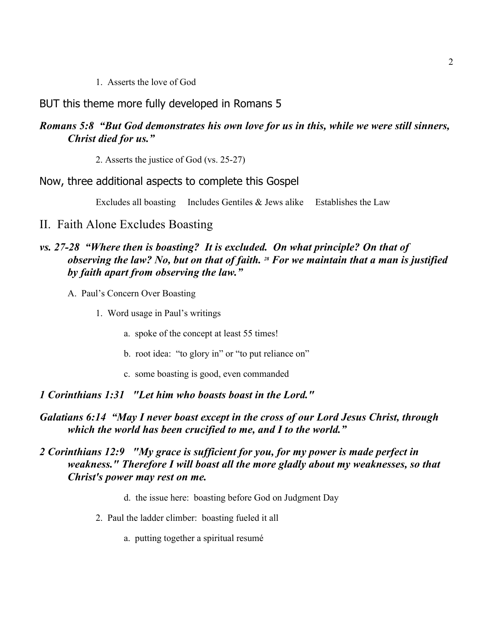1. Asserts the love of God

#### BUT this theme more fully developed in Romans 5

#### *Romans 5:8 "But God demonstrates his own love for us in this, while we were still sinners, Christ died for us."*

2. Asserts the justice of God (vs. 25-27)

#### Now, three additional aspects to complete this Gospel

Excludes all boasting Includes Gentiles  $&$  Jews alike Establishes the Law

#### II. Faith Alone Excludes Boasting

## *vs. 27-28 "Where then is boasting? It is excluded. On what principle? On that of observing the law? No, but on that of faith. 28 For we maintain that a man is justified by faith apart from observing the law."*

- A. Paul's Concern Over Boasting
	- 1. Word usage in Paul's writings
		- a. spoke of the concept at least 55 times!
		- b. root idea: "to glory in" or "to put reliance on"
		- c. some boasting is good, even commanded

#### *1 Corinthians 1:31 "Let him who boasts boast in the Lord."*

#### *Galatians 6:14 "May I never boast except in the cross of our Lord Jesus Christ, through which the world has been crucified to me, and I to the world."*

#### *2 Corinthians 12:9 "My grace is sufficient for you, for my power is made perfect in weakness." Therefore I will boast all the more gladly about my weaknesses, so that Christ's power may rest on me.*

- d. the issue here: boasting before God on Judgment Day
- 2. Paul the ladder climber: boasting fueled it all
	- a. putting together a spiritual resumé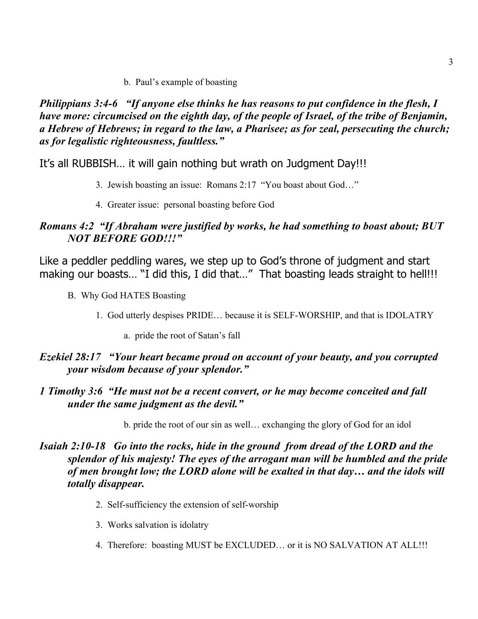b. Paul's example of boasting

*Philippians 3:4-6 "If anyone else thinks he has reasons to put confidence in the flesh, I have more: circumcised on the eighth day, of the people of Israel, of the tribe of Benjamin, a Hebrew of Hebrews; in regard to the law, a Pharisee; as for zeal, persecuting the church; as for legalistic righteousness, faultless."*

It's all RUBBISH… it will gain nothing but wrath on Judgment Day!!!

- 3. Jewish boasting an issue: Romans 2:17 "You boast about God…"
- 4. Greater issue: personal boasting before God

## *Romans 4:2 "If Abraham were justified by works, he had something to boast about; BUT NOT BEFORE GOD!!!"*

Like a peddler peddling wares, we step up to God's throne of judgment and start making our boasts... "I did this, I did that..." That boasting leads straight to hell!!!

- B. Why God HATES Boasting
	- 1. God utterly despises PRIDE… because it is SELF-WORSHIP, and that is IDOLATRY
		- a. pride the root of Satan's fall

## *Ezekiel 28:17 "Your heart became proud on account of your beauty, and you corrupted your wisdom because of your splendor."*

## *1 Timothy 3:6 "He must not be a recent convert, or he may become conceited and fall under the same judgment as the devil."*

b. pride the root of our sin as well… exchanging the glory of God for an idol

## *Isaiah 2:10-18 Go into the rocks, hide in the ground from dread of the LORD and the splendor of his majesty! The eyes of the arrogant man will be humbled and the pride of men brought low; the LORD alone will be exalted in that day… and the idols will totally disappear.*

- 2. Self-sufficiency the extension of self-worship
- 3. Works salvation is idolatry
- 4. Therefore: boasting MUST be EXCLUDED… or it is NO SALVATION AT ALL!!!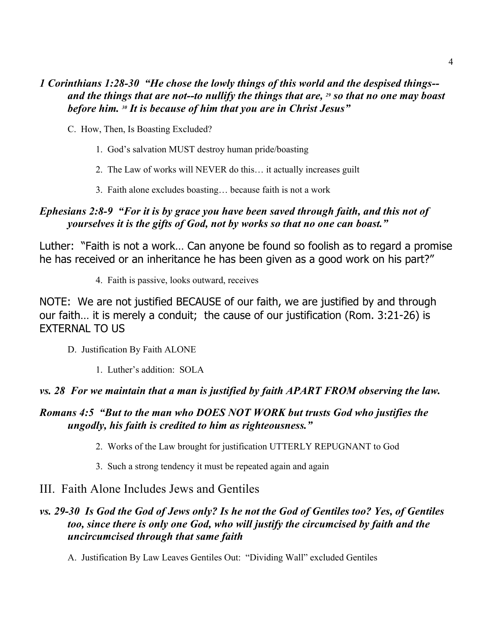## *1 Corinthians 1:28-30 "He chose the lowly things of this world and the despised things- and the things that are not--to nullify the things that are, 29 so that no one may boast before him. 30 It is because of him that you are in Christ Jesus"*

- C. How, Then, Is Boasting Excluded?
	- 1. God's salvation MUST destroy human pride/boasting
	- 2. The Law of works will NEVER do this… it actually increases guilt
	- 3. Faith alone excludes boasting… because faith is not a work

## *Ephesians 2:8-9 "For it is by grace you have been saved through faith, and this not of yourselves it is the gifts of God, not by works so that no one can boast."*

Luther: "Faith is not a work… Can anyone be found so foolish as to regard a promise he has received or an inheritance he has been given as a good work on his part?"

4. Faith is passive, looks outward, receives

NOTE: We are not justified BECAUSE of our faith, we are justified by and through our faith… it is merely a conduit; the cause of our justification (Rom. 3:21-26) is EXTERNAL TO US

- D. Justification By Faith ALONE
	- 1. Luther's addition: SOLA

#### *vs. 28 For we maintain that a man is justified by faith APART FROM observing the law.*

#### *Romans 4:5 "But to the man who DOES NOT WORK but trusts God who justifies the ungodly, his faith is credited to him as righteousness."*

- 2. Works of the Law brought for justification UTTERLY REPUGNANT to God
- 3. Such a strong tendency it must be repeated again and again

## III. Faith Alone Includes Jews and Gentiles

## *vs. 29-30 Is God the God of Jews only? Is he not the God of Gentiles too? Yes, of Gentiles too, since there is only one God, who will justify the circumcised by faith and the uncircumcised through that same faith*

A. Justification By Law Leaves Gentiles Out: "Dividing Wall" excluded Gentiles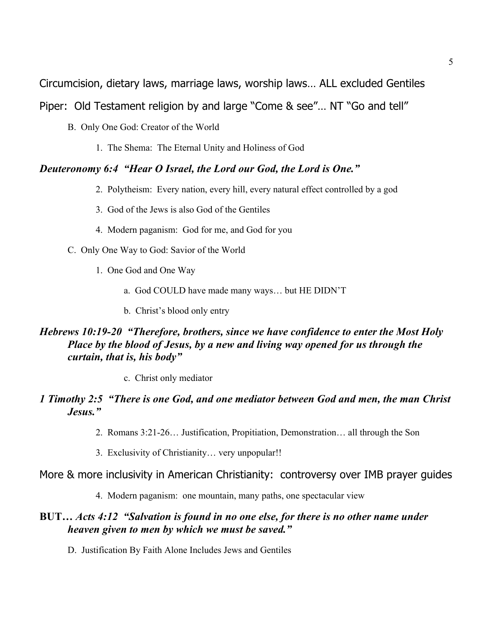Circumcision, dietary laws, marriage laws, worship laws… ALL excluded Gentiles

Piper: Old Testament religion by and large "Come & see"… NT "Go and tell"

B. Only One God: Creator of the World

1. The Shema: The Eternal Unity and Holiness of God

#### *Deuteronomy 6:4 "Hear O Israel, the Lord our God, the Lord is One."*

- 2. Polytheism: Every nation, every hill, every natural effect controlled by a god
- 3. God of the Jews is also God of the Gentiles
- 4. Modern paganism: God for me, and God for you
- C. Only One Way to God: Savior of the World
	- 1. One God and One Way
		- a. God COULD have made many ways… but HE DIDN'T
		- b. Christ's blood only entry

## *Hebrews 10:19-20 "Therefore, brothers, since we have confidence to enter the Most Holy Place by the blood of Jesus, by a new and living way opened for us through the curtain, that is, his body"*

c. Christ only mediator

## *1 Timothy 2:5 "There is one God, and one mediator between God and men, the man Christ Jesus."*

- 2. Romans 3:21-26… Justification, Propitiation, Demonstration… all through the Son
- 3. Exclusivity of Christianity… very unpopular!!

#### More & more inclusivity in American Christianity: controversy over IMB prayer guides

4. Modern paganism: one mountain, many paths, one spectacular view

#### **BUT…** *Acts 4:12 "Salvation is found in no one else, for there is no other name under heaven given to men by which we must be saved."*

D. Justification By Faith Alone Includes Jews and Gentiles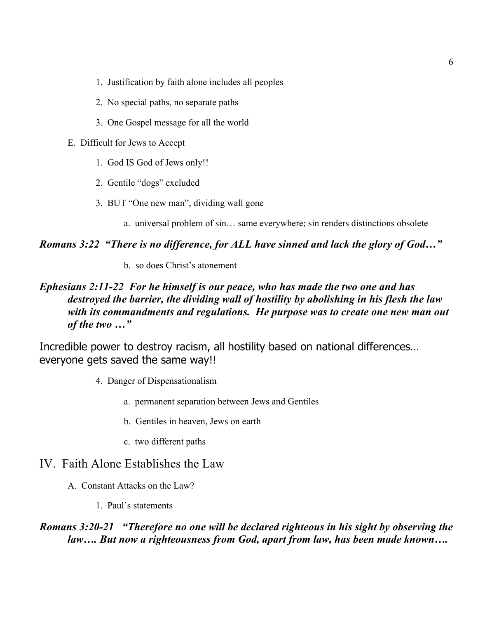- 1. Justification by faith alone includes all peoples
- 2. No special paths, no separate paths
- 3. One Gospel message for all the world
- E. Difficult for Jews to Accept
	- 1. God IS God of Jews only!!
	- 2. Gentile "dogs" excluded
	- 3. BUT "One new man", dividing wall gone
		- a. universal problem of sin… same everywhere; sin renders distinctions obsolete

#### *Romans 3:22 "There is no difference, for ALL have sinned and lack the glory of God…"*

b. so does Christ's atonement

## *Ephesians 2:11-22 For he himself is our peace, who has made the two one and has destroyed the barrier, the dividing wall of hostility by abolishing in his flesh the law with its commandments and regulations. He purpose was to create one new man out of the two …"*

Incredible power to destroy racism, all hostility based on national differences… everyone gets saved the same way!!

- 4. Danger of Dispensationalism
	- a. permanent separation between Jews and Gentiles
	- b. Gentiles in heaven, Jews on earth
	- c. two different paths

## IV. Faith Alone Establishes the Law

- A. Constant Attacks on the Law?
	- 1. Paul's statements

#### *Romans 3:20-21 "Therefore no one will be declared righteous in his sight by observing the law…. But now a righteousness from God, apart from law, has been made known….*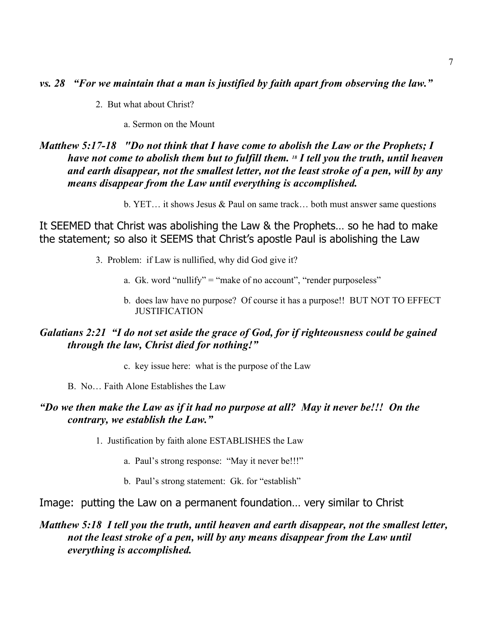*vs. 28 "For we maintain that a man is justified by faith apart from observing the law."*

2. But what about Christ?

a. Sermon on the Mount

## *Matthew 5:17-18 "Do not think that I have come to abolish the Law or the Prophets; I have not come to abolish them but to fulfill them. 18 I tell you the truth, until heaven and earth disappear, not the smallest letter, not the least stroke of a pen, will by any means disappear from the Law until everything is accomplished.*

b. YET… it shows Jesus & Paul on same track… both must answer same questions

It SEEMED that Christ was abolishing the Law & the Prophets… so he had to make the statement; so also it SEEMS that Christ's apostle Paul is abolishing the Law

- 3. Problem: if Law is nullified, why did God give it?
	- a. Gk. word "nullify" = "make of no account", "render purposeless"
	- b. does law have no purpose? Of course it has a purpose!! BUT NOT TO EFFECT **JUSTIFICATION**

## *Galatians 2:21 "I do not set aside the grace of God, for if righteousness could be gained through the law, Christ died for nothing!"*

- c. key issue here: what is the purpose of the Law
- B. No… Faith Alone Establishes the Law

#### *"Do we then make the Law as if it had no purpose at all? May it never be!!! On the contrary, we establish the Law."*

- 1. Justification by faith alone ESTABLISHES the Law
	- a. Paul's strong response: "May it never be!!!"
	- b. Paul's strong statement: Gk. for "establish"

#### Image: putting the Law on a permanent foundation… very similar to Christ

## *Matthew 5:18 I tell you the truth, until heaven and earth disappear, not the smallest letter, not the least stroke of a pen, will by any means disappear from the Law until everything is accomplished.*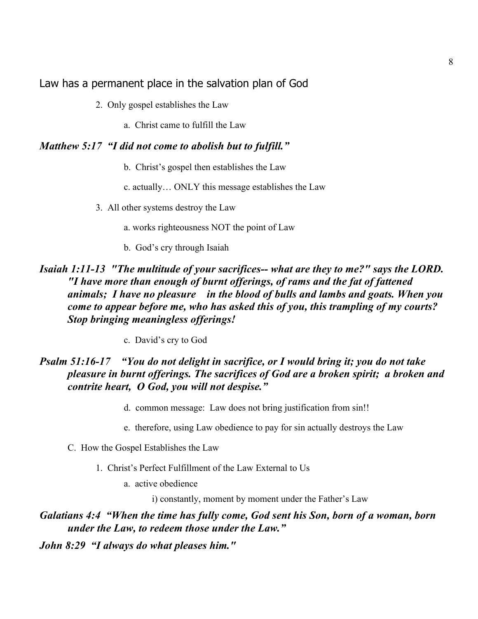Law has a permanent place in the salvation plan of God

2. Only gospel establishes the Law

a. Christ came to fulfill the Law

### *Matthew 5:17 "I did not come to abolish but to fulfill."*

- b. Christ's gospel then establishes the Law
- c. actually… ONLY this message establishes the Law

3. All other systems destroy the Law

- a. works righteousness NOT the point of Law
- b. God's cry through Isaiah

## *Isaiah 1:11-13 "The multitude of your sacrifices-- what are they to me?" says the LORD. "I have more than enough of burnt offerings, of rams and the fat of fattened animals; I have no pleasure in the blood of bulls and lambs and goats. When you come to appear before me, who has asked this of you, this trampling of my courts? Stop bringing meaningless offerings!*

c. David's cry to God

## *Psalm 51:16-17 "You do not delight in sacrifice, or I would bring it; you do not take pleasure in burnt offerings. The sacrifices of God are a broken spirit; a broken and contrite heart, O God, you will not despise."*

- d. common message: Law does not bring justification from sin!!
- e. therefore, using Law obedience to pay for sin actually destroys the Law
- C. How the Gospel Establishes the Law
	- 1. Christ's Perfect Fulfillment of the Law External to Us
		- a. active obedience

i) constantly, moment by moment under the Father's Law

*Galatians 4:4 "When the time has fully come, God sent his Son, born of a woman, born under the Law, to redeem those under the Law."*

*John 8:29 "I always do what pleases him."*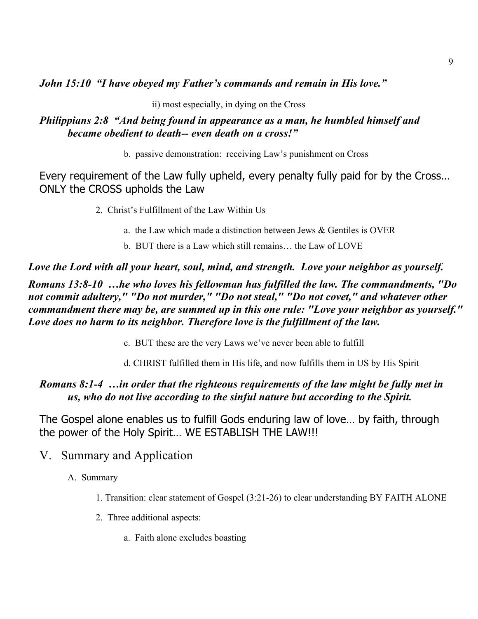*John 15:10 "I have obeyed my Father's commands and remain in His love."*

ii) most especially, in dying on the Cross

#### *Philippians 2:8 "And being found in appearance as a man, he humbled himself and became obedient to death-- even death on a cross!"*

b. passive demonstration: receiving Law's punishment on Cross

Every requirement of the Law fully upheld, every penalty fully paid for by the Cross… ONLY the CROSS upholds the Law

2. Christ's Fulfillment of the Law Within Us

- a. the Law which made a distinction between Jews & Gentiles is OVER
- b. BUT there is a Law which still remains… the Law of LOVE

*Love the Lord with all your heart, soul, mind, and strength. Love your neighbor as yourself.*

*Romans 13:8-10 …he who loves his fellowman has fulfilled the law. The commandments, "Do not commit adultery," "Do not murder," "Do not steal," "Do not covet," and whatever other commandment there may be, are summed up in this one rule: "Love your neighbor as yourself." Love does no harm to its neighbor. Therefore love is the fulfillment of the law.*

c. BUT these are the very Laws we've never been able to fulfill

d. CHRIST fulfilled them in His life, and now fulfills them in US by His Spirit

## *Romans 8:1-4 …in order that the righteous requirements of the law might be fully met in us, who do not live according to the sinful nature but according to the Spirit.*

The Gospel alone enables us to fulfill Gods enduring law of love… by faith, through the power of the Holy Spirit… WE ESTABLISH THE LAW!!!

- V. Summary and Application
	- A. Summary
		- 1. Transition: clear statement of Gospel (3:21-26) to clear understanding BY FAITH ALONE
		- 2. Three additional aspects:
			- a. Faith alone excludes boasting